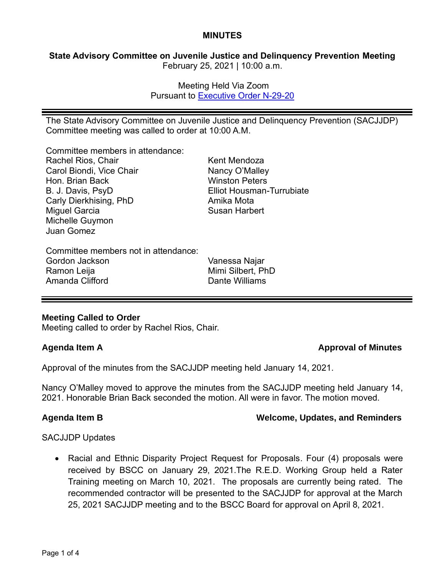## **MINUTES**

# **State Advisory Committee on Juvenile Justice and Delinquency Prevention Meeting** February 25, 2021 | 10:00 a.m.

Meeting Held Via Zoom Pursuant to [Executive Order N-29-20](https://www.gov.ca.gov/wp-content/uploads/2020/03/3.17.20-N-29-20-EO.pdf)

The State Advisory Committee on Juvenile Justice and Delinquency Prevention (SACJJDP) Committee meeting was called to order at 10:00 A.M.

Committee members in attendance:

| Rachel Rios, Chair                   | Kent Mendoza                     |
|--------------------------------------|----------------------------------|
| Carol Biondi, Vice Chair             | Nancy O'Malley                   |
| Hon. Brian Back                      | <b>Winston Peters</b>            |
| B. J. Davis, PsyD                    | <b>Elliot Housman-Turrubiate</b> |
| Carly Dierkhising, PhD               | Amika Mota                       |
| <b>Miguel Garcia</b>                 | <b>Susan Harbert</b>             |
| Michelle Guymon                      |                                  |
| Juan Gomez                           |                                  |
| Committee members not in attendance: |                                  |
| Gordon Jackson                       | Vanessa Najar                    |
| Ramon Leija                          | Mimi Silbert, PhD                |

# **Meeting Called to Order**

Meeting called to order by Rachel Rios, Chair.

Amanda Clifford

# **Agenda Item A Approval of Minutes**

Approval of the minutes from the SACJJDP meeting held January 14, 2021.

Nancy O'Malley moved to approve the minutes from the SACJJDP meeting held January 14, 2021. Honorable Brian Back seconded the motion. All were in favor. The motion moved.

Dante Williams

# **Agenda Item B Welcome, Updates, and Reminders**

### SACJJDP Updates

• Racial and Ethnic Disparity Project Request for Proposals. Four (4) proposals were received by BSCC on January 29, 2021.The R.E.D. Working Group held a Rater Training meeting on March 10, 2021. The proposals are currently being rated. The recommended contractor will be presented to the SACJJDP for approval at the March 25, 2021 SACJJDP meeting and to the BSCC Board for approval on April 8, 2021.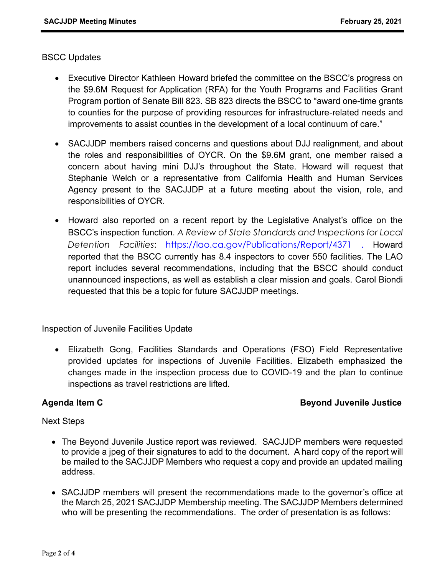## BSCC Updates

- Executive Director Kathleen Howard briefed the committee on the BSCC's progress on the \$9.6M Request for Application (RFA) for the Youth Programs and Facilities Grant Program portion of Senate Bill 823. SB 823 directs the BSCC to "award one-time grants to counties for the purpose of providing resources for infrastructure-related needs and improvements to assist counties in the development of a local continuum of care."
- SACJJDP members raised concerns and questions about DJJ realignment, and about the roles and responsibilities of OYCR. On the \$9.6M grant, one member raised a concern about having mini DJJ's throughout the State. Howard will request that Stephanie Welch or a representative from California Health and Human Services Agency present to the SACJJDP at a future meeting about the vision, role, and responsibilities of OYCR.
- Howard also reported on a recent report by the Legislative Analyst's office on the BSCC's inspection function. *A Review of State Standards and Inspections for Local Detention Facilities*: <https://lao.ca.gov/Publications/Report/4371> . Howard reported that the BSCC currently has 8.4 inspectors to cover 550 facilities. The LAO report includes several recommendations, including that the BSCC should conduct unannounced inspections, as well as establish a clear mission and goals. Carol Biondi requested that this be a topic for future SACJJDP meetings.

Inspection of Juvenile Facilities Update

• Elizabeth Gong, Facilities Standards and Operations (FSO) Field Representative provided updates for inspections of Juvenile Facilities. Elizabeth emphasized the changes made in the inspection process due to COVID-19 and the plan to continue inspections as travel restrictions are lifted.

# **Agenda Item C Beyond Juvenile Justice**

### Next Steps

- The Beyond Juvenile Justice report was reviewed. SACJJDP members were requested to provide a jpeg of their signatures to add to the document. A hard copy of the report will be mailed to the SACJJDP Members who request a copy and provide an updated mailing address.
- SACJJDP members will present the recommendations made to the governor's office at the March 25, 2021 SACJJDP Membership meeting. The SACJJDP Members determined who will be presenting the recommendations. The order of presentation is as follows: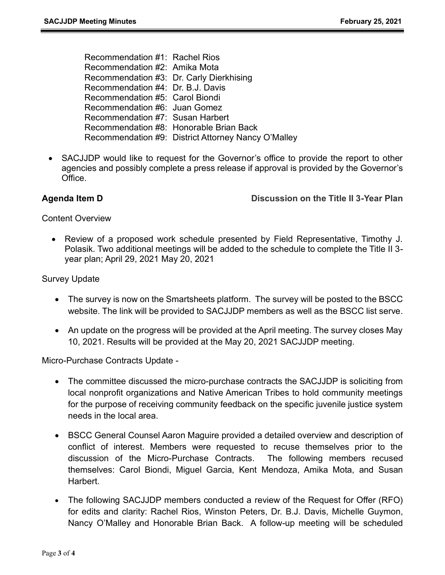Recommendation #1: Rachel Rios Recommendation #2: Amika Mota Recommendation #3: Dr. Carly Dierkhising Recommendation #4: Dr. B.J. Davis Recommendation #5: Carol Biondi Recommendation #6: Juan Gomez Recommendation #7: Susan Harbert Recommendation #8: Honorable Brian Back Recommendation #9: District Attorney Nancy O'Malley

• SACJJDP would like to request for the Governor's office to provide the report to other agencies and possibly complete a press release if approval is provided by the Governor's Office.

**Agenda Item D Discussion on the Title II 3-Year Plan**

Content Overview

• Review of a proposed work schedule presented by Field Representative, Timothy J. Polasik. Two additional meetings will be added to the schedule to complete the Title II 3 year plan; April 29, 2021 May 20, 2021

Survey Update

- The survey is now on the Smartsheets platform. The survey will be posted to the BSCC website. The link will be provided to SACJJDP members as well as the BSCC list serve.
- An update on the progress will be provided at the April meeting. The survey closes May 10, 2021. Results will be provided at the May 20, 2021 SACJJDP meeting.

Micro-Purchase Contracts Update -

- The committee discussed the micro-purchase contracts the SACJJDP is soliciting from local nonprofit organizations and Native American Tribes to hold community meetings for the purpose of receiving community feedback on the specific juvenile justice system needs in the local area.
- BSCC General Counsel Aaron Maguire provided a detailed overview and description of conflict of interest. Members were requested to recuse themselves prior to the discussion of the Micro-Purchase Contracts. The following members recused themselves: Carol Biondi, Miguel Garcia, Kent Mendoza, Amika Mota, and Susan Harbert.
- The following SACJJDP members conducted a review of the Request for Offer (RFO) for edits and clarity: Rachel Rios, Winston Peters, Dr. B.J. Davis, Michelle Guymon, Nancy O'Malley and Honorable Brian Back. A follow-up meeting will be scheduled